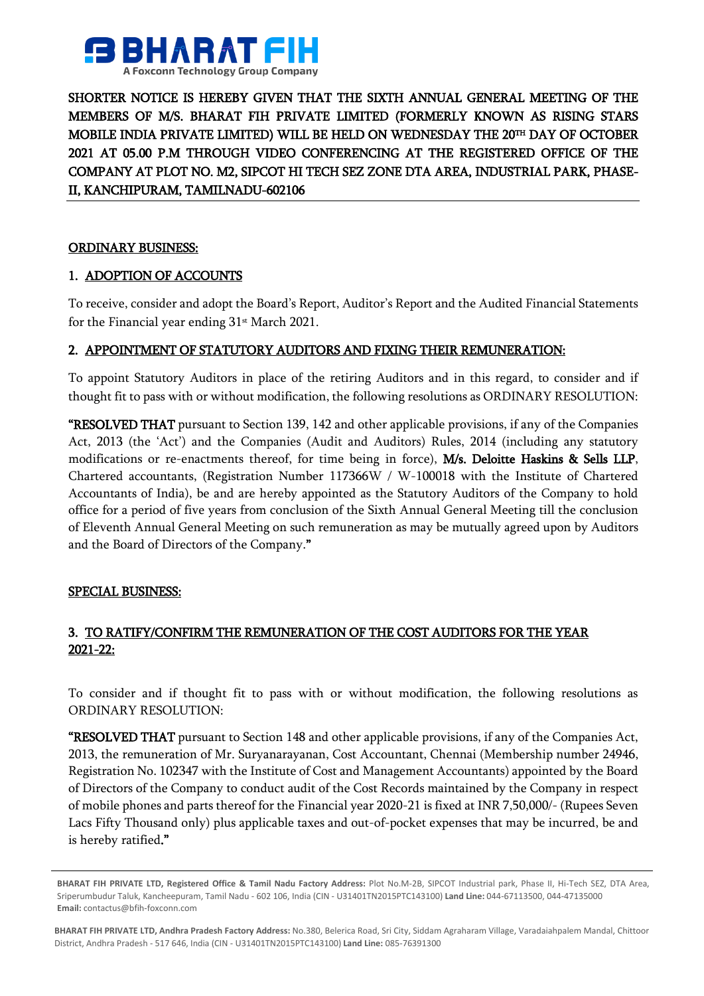

SHORTER NOTICE IS HEREBY GIVEN THAT THE SIXTH ANNUAL GENERAL MEETING OF THE MEMBERS OF M/S. BHARAT FIH PRIVATE LIMITED (FORMERLY KNOWN AS RISING STARS MOBILE INDIA PRIVATE LIMITED) WILL BE HELD ON WEDNESDAY THE 20™ DAY OF OCTOBER 2021 AT 05.00 P.M THROUGH VIDEO CONFERENCING AT THE REGISTERED OFFICE OF THE COMPANY AT PLOT NO. M2, SIPCOT HI TECH SEZ ZONE DTA AREA, INDUSTRIAL PARK, PHASE-II, KANCHIPURAM, TAMILNADU-602106

### ORDINARY BUSINESS:

## 1. ADOPTION OF ACCOUNTS

To receive, consider and adopt the Board's Report, Auditor's Report and the Audited Financial Statements for the Financial year ending  $31<sup>st</sup>$  March 2021.

## 2. APPOINTMENT OF STATUTORY AUDITORS AND FIXING THEIR REMUNERATION:

To appoint Statutory Auditors in place of the retiring Auditors and in this regard, to consider and if thought fit to pass with or without modification, the following resolutions as ORDINARY RESOLUTION:

"RESOLVED THAT pursuant to Section 139, 142 and other applicable provisions, if any of the Companies Act, 2013 (the 'Act') and the Companies (Audit and Auditors) Rules, 2014 (including any statutory modifications or re-enactments thereof, for time being in force), M/s. Deloitte Haskins & Sells LLP, Chartered accountants, (Registration Number 117366W / W-100018 with the Institute of Chartered Accountants of India), be and are hereby appointed as the Statutory Auditors of the Company to hold office for a period of five years from conclusion of the Sixth Annual General Meeting till the conclusion of Eleventh Annual General Meeting on such remuneration as may be mutually agreed upon by Auditors and the Board of Directors of the Company."

### SPECIAL BUSINESS:

# 3. TO RATIFY/CONFIRM THE REMUNERATION OF THE COST AUDITORS FOR THE YEAR 2021-22:

To consider and if thought fit to pass with or without modification, the following resolutions as ORDINARY RESOLUTION:

"RESOLVED THAT pursuant to Section 148 and other applicable provisions, if any of the Companies Act, 2013, the remuneration of Mr. Suryanarayanan, Cost Accountant, Chennai (Membership number 24946, Registration No. 102347 with the Institute of Cost and Management Accountants) appointed by the Board of Directors of the Company to conduct audit of the Cost Records maintained by the Company in respect of mobile phones and parts thereof for the Financial year 2020-21 is fixed at INR 7,50,000/- (Rupees Seven Lacs Fifty Thousand only) plus applicable taxes and out-of-pocket expenses that may be incurred, be and is hereby ratified."

**BHARAT FIH PRIVATE LTD, Registered Office & Tamil Nadu Factory Address:** Plot No.M-2B, SIPCOT Industrial park, Phase II, Hi-Tech SEZ, DTA Area, Sriperumbudur Taluk, Kancheepuram, Tamil Nadu - 602 106, India (CIN - U31401TN2015PTC143100) **Land Line:** 044-67113500, 044-47135000 **Email:** contactus@bfih-foxconn.com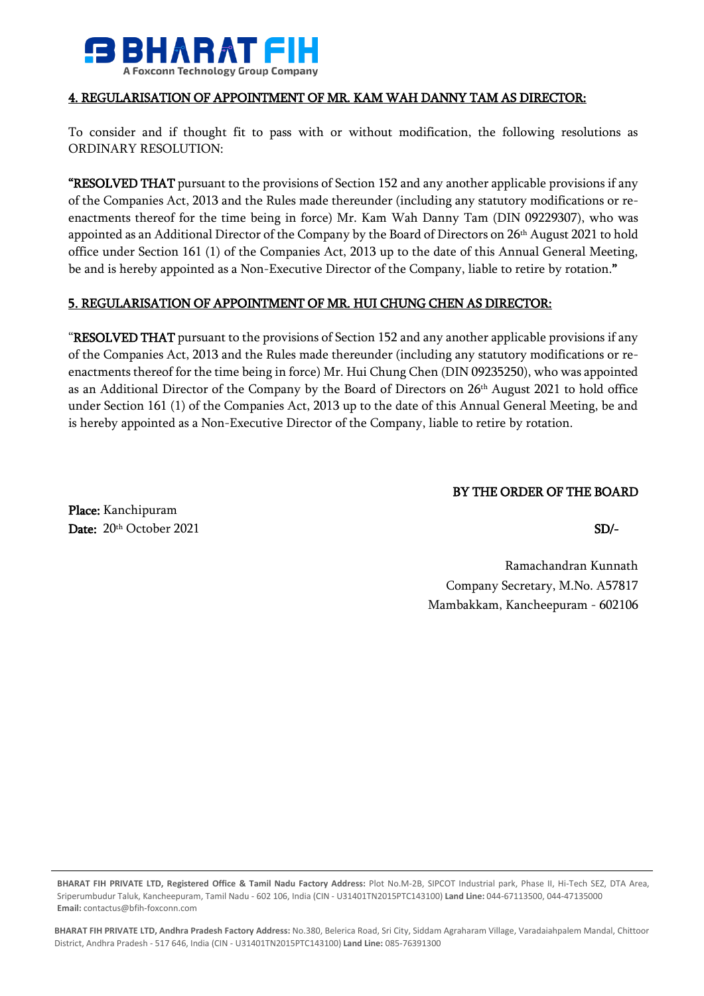

### 4. REGULARISATION OF APPOINTMENT OF MR. KAM WAH DANNY TAM AS DIRECTOR:

To consider and if thought fit to pass with or without modification, the following resolutions as ORDINARY RESOLUTION:

"RESOLVED THAT pursuant to the provisions of Section 152 and any another applicable provisions if any of the Companies Act, 2013 and the Rules made thereunder (including any statutory modifications or reenactments thereof for the time being in force) Mr. Kam Wah Danny Tam (DIN 09229307), who was appointed as an Additional Director of the Company by the Board of Directors on 26th August 2021 to hold office under Section 161 (1) of the Companies Act, 2013 up to the date of this Annual General Meeting, be and is hereby appointed as a Non-Executive Director of the Company, liable to retire by rotation."

### 5. REGULARISATION OF APPOINTMENT OF MR. HUI CHUNG CHEN AS DIRECTOR:

"RESOLVED THAT pursuant to the provisions of Section 152 and any another applicable provisions if any of the Companies Act, 2013 and the Rules made thereunder (including any statutory modifications or reenactments thereof for the time being in force) Mr. Hui Chung Chen (DIN 09235250), who was appointed as an Additional Director of the Company by the Board of Directors on 26th August 2021 to hold office under Section 161 (1) of the Companies Act, 2013 up to the date of this Annual General Meeting, be and is hereby appointed as a Non-Executive Director of the Company, liable to retire by rotation.

## BY THE ORDER OF THE BOARD

Place: Kanchipuram Date:  $20<sup>th</sup> October 2021$  SD/-

Ramachandran Kunnath Company Secretary, M.No. A57817 Mambakkam, Kancheepuram - 602106

**BHARAT FIH PRIVATE LTD, Registered Office & Tamil Nadu Factory Address:** Plot No.M-2B, SIPCOT Industrial park, Phase II, Hi-Tech SEZ, DTA Area, Sriperumbudur Taluk, Kancheepuram, Tamil Nadu - 602 106, India (CIN - U31401TN2015PTC143100) **Land Line:** 044-67113500, 044-47135000 **Email:** contactus@bfih-foxconn.com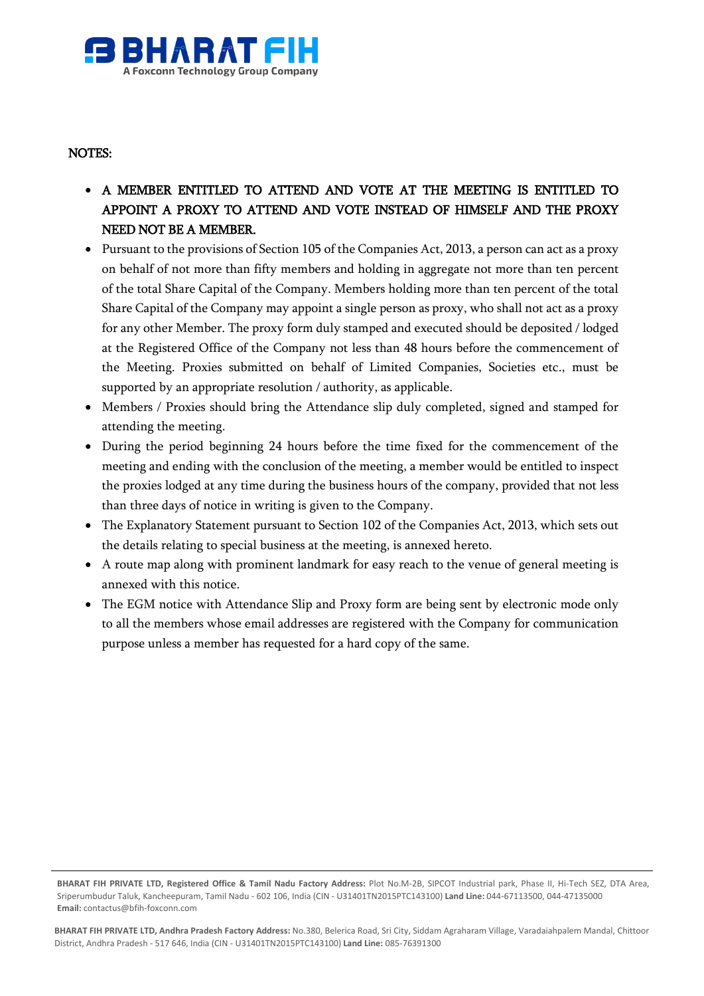

### NOTES:

- A MEMBER ENTITLED TO ATTEND AND VOTE AT THE MEETING IS ENTITLED TO APPOINT A PROXY TO ATTEND AND VOTE INSTEAD OF HIMSELF AND THE PROXY NEED NOT BE A MEMBER.
- Pursuant to the provisions of Section 105 of the Companies Act, 2013, a person can act as a proxy on behalf of not more than fifty members and holding in aggregate not more than ten percent of the total Share Capital of the Company. Members holding more than ten percent of the total Share Capital of the Company may appoint a single person as proxy, who shall not act as a proxy for any other Member. The proxy form duly stamped and executed should be deposited / lodged at the Registered Office of the Company not less than 48 hours before the commencement of the Meeting. Proxies submitted on behalf of Limited Companies, Societies etc., must be supported by an appropriate resolution / authority, as applicable.
- Members / Proxies should bring the Attendance slip duly completed, signed and stamped for attending the meeting.
- During the period beginning 24 hours before the time fixed for the commencement of the meeting and ending with the conclusion of the meeting, a member would be entitled to inspect the proxies lodged at any time during the business hours of the company, provided that not less than three days of notice in writing is given to the Company.
- The Explanatory Statement pursuant to Section 102 of the Companies Act, 2013, which sets out the details relating to special business at the meeting, is annexed hereto.
- A route map along with prominent landmark for easy reach to the venue of general meeting is annexed with this notice.
- The EGM notice with Attendance Slip and Proxy form are being sent by electronic mode only to all the members whose email addresses are registered with the Company for communication purpose unless a member has requested for a hard copy of the same.

**BHARAT FIH PRIVATE LTD, Registered Office & Tamil Nadu Factory Address:** Plot No.M-2B, SIPCOT Industrial park, Phase II, Hi-Tech SEZ, DTA Area, Sriperumbudur Taluk, Kancheepuram, Tamil Nadu - 602 106, India (CIN - U31401TN2015PTC143100) **Land Line:** 044-67113500, 044-47135000 **Email:** contactus@bfih-foxconn.com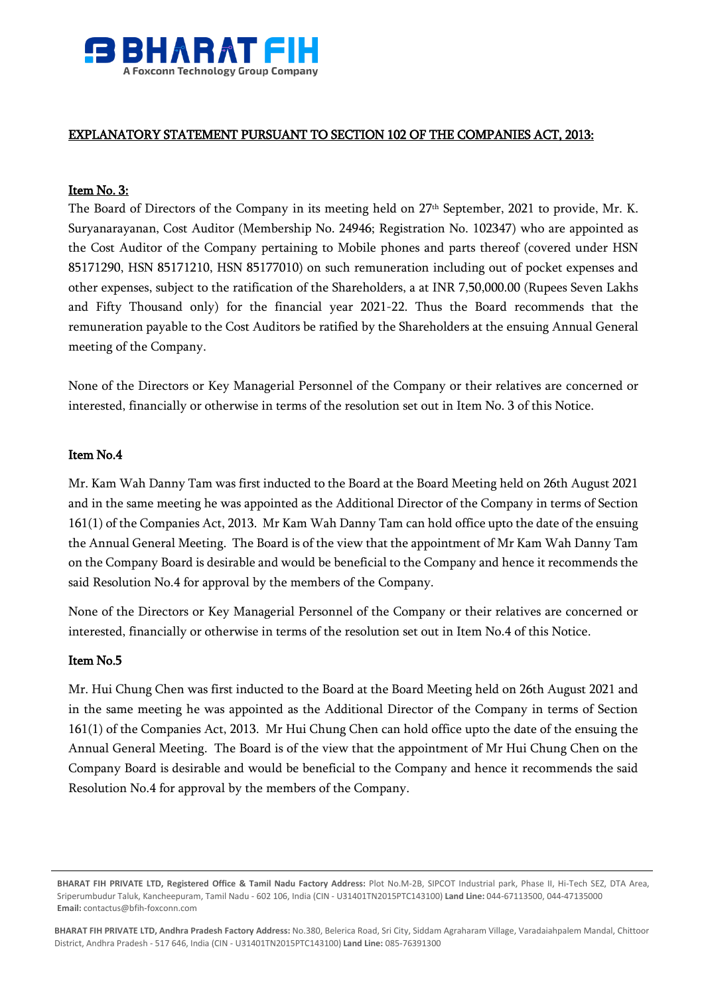

### EXPLANATORY STATEMENT PURSUANT TO SECTION 102 OF THE COMPANIES ACT, 2013:

### Item No. 3:

The Board of Directors of the Company in its meeting held on 27<sup>th</sup> September, 2021 to provide, Mr. K. Suryanarayanan, Cost Auditor (Membership No. 24946; Registration No. 102347) who are appointed as the Cost Auditor of the Company pertaining to Mobile phones and parts thereof (covered under HSN 85171290, HSN 85171210, HSN 85177010) on such remuneration including out of pocket expenses and other expenses, subject to the ratification of the Shareholders, a at INR 7,50,000.00 (Rupees Seven Lakhs and Fifty Thousand only) for the financial year 2021-22. Thus the Board recommends that the remuneration payable to the Cost Auditors be ratified by the Shareholders at the ensuing Annual General meeting of the Company.

None of the Directors or Key Managerial Personnel of the Company or their relatives are concerned or interested, financially or otherwise in terms of the resolution set out in Item No. 3 of this Notice.

### Item No.4

Mr. Kam Wah Danny Tam was first inducted to the Board at the Board Meeting held on 26th August 2021 and in the same meeting he was appointed as the Additional Director of the Company in terms of Section 161(1) of the Companies Act, 2013. Mr Kam Wah Danny Tam can hold office upto the date of the ensuing the Annual General Meeting. The Board is of the view that the appointment of Mr Kam Wah Danny Tam on the Company Board is desirable and would be beneficial to the Company and hence it recommends the said Resolution No.4 for approval by the members of the Company.

None of the Directors or Key Managerial Personnel of the Company or their relatives are concerned or interested, financially or otherwise in terms of the resolution set out in Item No.4 of this Notice.

### Item No.5

Mr. Hui Chung Chen was first inducted to the Board at the Board Meeting held on 26th August 2021 and in the same meeting he was appointed as the Additional Director of the Company in terms of Section 161(1) of the Companies Act, 2013. Mr Hui Chung Chen can hold office upto the date of the ensuing the Annual General Meeting. The Board is of the view that the appointment of Mr Hui Chung Chen on the Company Board is desirable and would be beneficial to the Company and hence it recommends the said Resolution No.4 for approval by the members of the Company.

**BHARAT FIH PRIVATE LTD, Registered Office & Tamil Nadu Factory Address:** Plot No.M-2B, SIPCOT Industrial park, Phase II, Hi-Tech SEZ, DTA Area, Sriperumbudur Taluk, Kancheepuram, Tamil Nadu - 602 106, India (CIN - U31401TN2015PTC143100) **Land Line:** 044-67113500, 044-47135000 **Email:** contactus@bfih-foxconn.com